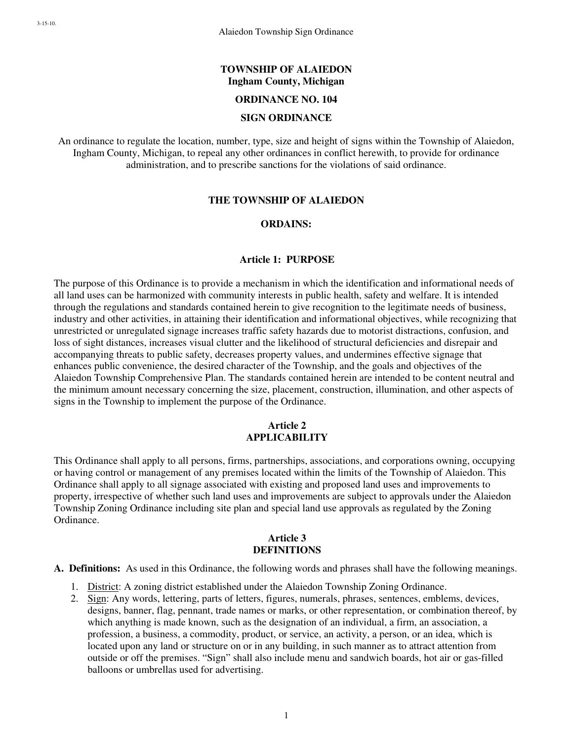#### **TOWNSHIP OF ALAIEDON Ingham County, Michigan**

#### **ORDINANCE NO. 104**

#### **SIGN ORDINANCE**

An ordinance to regulate the location, number, type, size and height of signs within the Township of Alaiedon, Ingham County, Michigan, to repeal any other ordinances in conflict herewith, to provide for ordinance administration, and to prescribe sanctions for the violations of said ordinance.

#### **THE TOWNSHIP OF ALAIEDON**

#### **ORDAINS:**

#### **Article 1: PURPOSE**

The purpose of this Ordinance is to provide a mechanism in which the identification and informational needs of all land uses can be harmonized with community interests in public health, safety and welfare. It is intended through the regulations and standards contained herein to give recognition to the legitimate needs of business, industry and other activities, in attaining their identification and informational objectives, while recognizing that unrestricted or unregulated signage increases traffic safety hazards due to motorist distractions, confusion, and loss of sight distances, increases visual clutter and the likelihood of structural deficiencies and disrepair and accompanying threats to public safety, decreases property values, and undermines effective signage that enhances public convenience, the desired character of the Township, and the goals and objectives of the Alaiedon Township Comprehensive Plan. The standards contained herein are intended to be content neutral and the minimum amount necessary concerning the size, placement, construction, illumination, and other aspects of signs in the Township to implement the purpose of the Ordinance.

#### **Article 2 APPLICABILITY**

This Ordinance shall apply to all persons, firms, partnerships, associations, and corporations owning, occupying or having control or management of any premises located within the limits of the Township of Alaiedon. This Ordinance shall apply to all signage associated with existing and proposed land uses and improvements to property, irrespective of whether such land uses and improvements are subject to approvals under the Alaiedon Township Zoning Ordinance including site plan and special land use approvals as regulated by the Zoning Ordinance.

#### **Article 3 DEFINITIONS**

**A. Definitions:** As used in this Ordinance, the following words and phrases shall have the following meanings.

- 1. District: A zoning district established under the Alaiedon Township Zoning Ordinance.
- 2. Sign: Any words, lettering, parts of letters, figures, numerals, phrases, sentences, emblems, devices, designs, banner, flag, pennant, trade names or marks, or other representation, or combination thereof, by which anything is made known, such as the designation of an individual, a firm, an association, a profession, a business, a commodity, product, or service, an activity, a person, or an idea, which is located upon any land or structure on or in any building, in such manner as to attract attention from outside or off the premises. "Sign" shall also include menu and sandwich boards, hot air or gas-filled balloons or umbrellas used for advertising.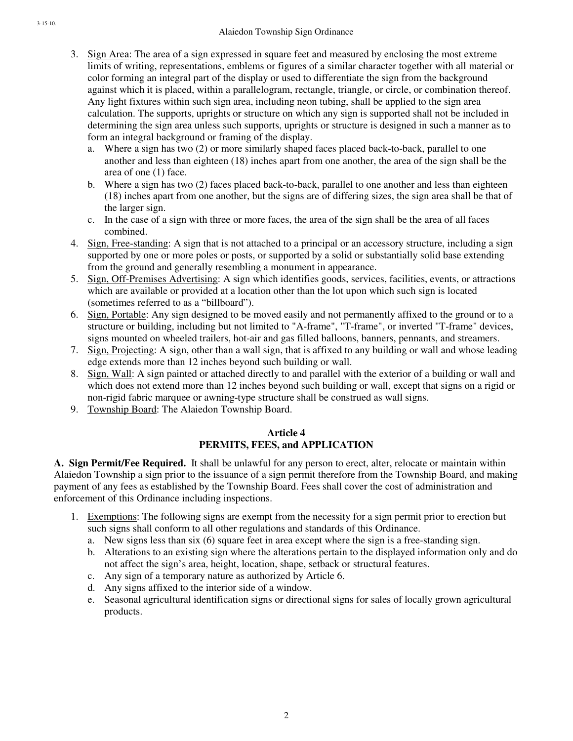- 3. Sign Area: The area of a sign expressed in square feet and measured by enclosing the most extreme limits of writing, representations, emblems or figures of a similar character together with all material or color forming an integral part of the display or used to differentiate the sign from the background against which it is placed, within a parallelogram, rectangle, triangle, or circle, or combination thereof. Any light fixtures within such sign area, including neon tubing, shall be applied to the sign area calculation. The supports, uprights or structure on which any sign is supported shall not be included in determining the sign area unless such supports, uprights or structure is designed in such a manner as to form an integral background or framing of the display.
	- a. Where a sign has two (2) or more similarly shaped faces placed back-to-back, parallel to one another and less than eighteen (18) inches apart from one another, the area of the sign shall be the area of one (1) face.
	- b. Where a sign has two (2) faces placed back-to-back, parallel to one another and less than eighteen (18) inches apart from one another, but the signs are of differing sizes, the sign area shall be that of the larger sign.
	- c. In the case of a sign with three or more faces, the area of the sign shall be the area of all faces combined.
- 4. Sign, Free-standing: A sign that is not attached to a principal or an accessory structure, including a sign supported by one or more poles or posts, or supported by a solid or substantially solid base extending from the ground and generally resembling a monument in appearance.
- 5. Sign, Off-Premises Advertising: A sign which identifies goods, services, facilities, events, or attractions which are available or provided at a location other than the lot upon which such sign is located (sometimes referred to as a "billboard").
- 6. Sign, Portable: Any sign designed to be moved easily and not permanently affixed to the ground or to a structure or building, including but not limited to "A-frame", "T-frame", or inverted "T-frame" devices, signs mounted on wheeled trailers, hot-air and gas filled balloons, banners, pennants, and streamers.
- 7. Sign, Projecting: A sign, other than a wall sign, that is affixed to any building or wall and whose leading edge extends more than 12 inches beyond such building or wall.
- 8. Sign, Wall: A sign painted or attached directly to and parallel with the exterior of a building or wall and which does not extend more than 12 inches beyond such building or wall, except that signs on a rigid or non-rigid fabric marquee or awning-type structure shall be construed as wall signs.
- 9. Township Board: The Alaiedon Township Board.

# **Article 4 PERMITS, FEES, and APPLICATION**

**A. Sign Permit/Fee Required.** It shall be unlawful for any person to erect, alter, relocate or maintain within Alaiedon Township a sign prior to the issuance of a sign permit therefore from the Township Board, and making payment of any fees as established by the Township Board. Fees shall cover the cost of administration and enforcement of this Ordinance including inspections.

- 1. Exemptions: The following signs are exempt from the necessity for a sign permit prior to erection but such signs shall conform to all other regulations and standards of this Ordinance.
	- a. New signs less than six (6) square feet in area except where the sign is a free-standing sign.
	- b. Alterations to an existing sign where the alterations pertain to the displayed information only and do not affect the sign's area, height, location, shape, setback or structural features.
	- c. Any sign of a temporary nature as authorized by Article 6.
	- d. Any signs affixed to the interior side of a window.
	- e. Seasonal agricultural identification signs or directional signs for sales of locally grown agricultural products.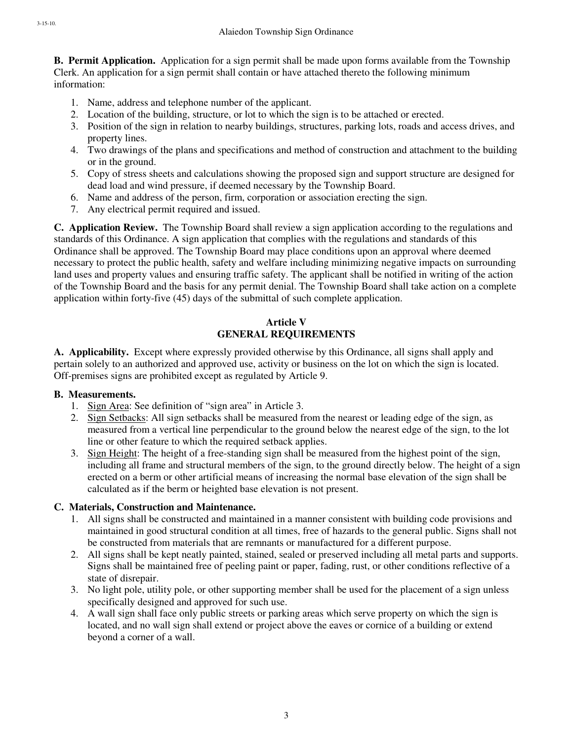**B. Permit Application.** Application for a sign permit shall be made upon forms available from the Township Clerk. An application for a sign permit shall contain or have attached thereto the following minimum information:

- 1. Name, address and telephone number of the applicant.
- 2. Location of the building, structure, or lot to which the sign is to be attached or erected.
- 3. Position of the sign in relation to nearby buildings, structures, parking lots, roads and access drives, and property lines.
- 4. Two drawings of the plans and specifications and method of construction and attachment to the building or in the ground.
- 5. Copy of stress sheets and calculations showing the proposed sign and support structure are designed for dead load and wind pressure, if deemed necessary by the Township Board.
- 6. Name and address of the person, firm, corporation or association erecting the sign.
- 7. Any electrical permit required and issued.

**C. Application Review.** The Township Board shall review a sign application according to the regulations and standards of this Ordinance. A sign application that complies with the regulations and standards of this Ordinance shall be approved. The Township Board may place conditions upon an approval where deemed necessary to protect the public health, safety and welfare including minimizing negative impacts on surrounding land uses and property values and ensuring traffic safety. The applicant shall be notified in writing of the action of the Township Board and the basis for any permit denial. The Township Board shall take action on a complete application within forty-five (45) days of the submittal of such complete application.

# **Article V GENERAL REQUIREMENTS**

**A. Applicability.** Except where expressly provided otherwise by this Ordinance, all signs shall apply and pertain solely to an authorized and approved use, activity or business on the lot on which the sign is located. Off-premises signs are prohibited except as regulated by Article 9.

## **B. Measurements.**

- 1. Sign Area: See definition of "sign area" in Article 3.
- 2. Sign Setbacks: All sign setbacks shall be measured from the nearest or leading edge of the sign, as measured from a vertical line perpendicular to the ground below the nearest edge of the sign, to the lot line or other feature to which the required setback applies.
- 3. Sign Height: The height of a free-standing sign shall be measured from the highest point of the sign, including all frame and structural members of the sign, to the ground directly below. The height of a sign erected on a berm or other artificial means of increasing the normal base elevation of the sign shall be calculated as if the berm or heighted base elevation is not present.

# **C. Materials, Construction and Maintenance.**

- 1. All signs shall be constructed and maintained in a manner consistent with building code provisions and maintained in good structural condition at all times, free of hazards to the general public. Signs shall not be constructed from materials that are remnants or manufactured for a different purpose.
- 2. All signs shall be kept neatly painted, stained, sealed or preserved including all metal parts and supports. Signs shall be maintained free of peeling paint or paper, fading, rust, or other conditions reflective of a state of disrepair.
- 3. No light pole, utility pole, or other supporting member shall be used for the placement of a sign unless specifically designed and approved for such use.
- 4. A wall sign shall face only public streets or parking areas which serve property on which the sign is located, and no wall sign shall extend or project above the eaves or cornice of a building or extend beyond a corner of a wall.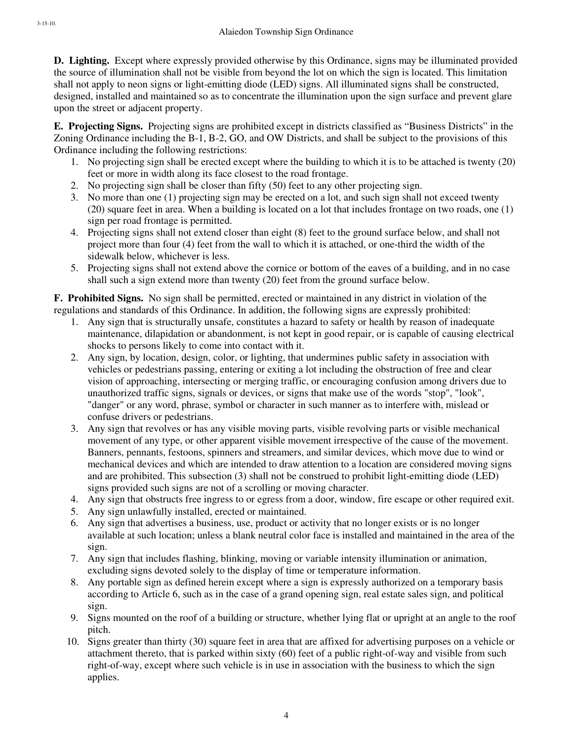**D. Lighting.** Except where expressly provided otherwise by this Ordinance, signs may be illuminated provided the source of illumination shall not be visible from beyond the lot on which the sign is located. This limitation shall not apply to neon signs or light-emitting diode (LED) signs. All illuminated signs shall be constructed, designed, installed and maintained so as to concentrate the illumination upon the sign surface and prevent glare upon the street or adjacent property.

**E. Projecting Signs.** Projecting signs are prohibited except in districts classified as "Business Districts" in the Zoning Ordinance including the B-1, B-2, GO, and OW Districts, and shall be subject to the provisions of this Ordinance including the following restrictions:

- 1. No projecting sign shall be erected except where the building to which it is to be attached is twenty (20) feet or more in width along its face closest to the road frontage.
- 2. No projecting sign shall be closer than fifty (50) feet to any other projecting sign.
- 3. No more than one (1) projecting sign may be erected on a lot, and such sign shall not exceed twenty (20) square feet in area. When a building is located on a lot that includes frontage on two roads, one (1) sign per road frontage is permitted.
- 4. Projecting signs shall not extend closer than eight (8) feet to the ground surface below, and shall not project more than four (4) feet from the wall to which it is attached, or one-third the width of the sidewalk below, whichever is less.
- 5. Projecting signs shall not extend above the cornice or bottom of the eaves of a building, and in no case shall such a sign extend more than twenty (20) feet from the ground surface below.

**F. Prohibited Signs.** No sign shall be permitted, erected or maintained in any district in violation of the regulations and standards of this Ordinance. In addition, the following signs are expressly prohibited:

- 1. Any sign that is structurally unsafe, constitutes a hazard to safety or health by reason of inadequate maintenance, dilapidation or abandonment, is not kept in good repair, or is capable of causing electrical shocks to persons likely to come into contact with it.
- 2. Any sign, by location, design, color, or lighting, that undermines public safety in association with vehicles or pedestrians passing, entering or exiting a lot including the obstruction of free and clear vision of approaching, intersecting or merging traffic, or encouraging confusion among drivers due to unauthorized traffic signs, signals or devices, or signs that make use of the words "stop", "look", "danger" or any word, phrase, symbol or character in such manner as to interfere with, mislead or confuse drivers or pedestrians.
- 3. Any sign that revolves or has any visible moving parts, visible revolving parts or visible mechanical movement of any type, or other apparent visible movement irrespective of the cause of the movement. Banners, pennants, festoons, spinners and streamers, and similar devices, which move due to wind or mechanical devices and which are intended to draw attention to a location are considered moving signs and are prohibited. This subsection (3) shall not be construed to prohibit light-emitting diode (LED) signs provided such signs are not of a scrolling or moving character.
- 4. Any sign that obstructs free ingress to or egress from a door, window, fire escape or other required exit.
- 5. Any sign unlawfully installed, erected or maintained.
- 6. Any sign that advertises a business, use, product or activity that no longer exists or is no longer available at such location; unless a blank neutral color face is installed and maintained in the area of the sign.
- 7. Any sign that includes flashing, blinking, moving or variable intensity illumination or animation, excluding signs devoted solely to the display of time or temperature information.
- 8. Any portable sign as defined herein except where a sign is expressly authorized on a temporary basis according to Article 6, such as in the case of a grand opening sign, real estate sales sign, and political sign.
- 9. Signs mounted on the roof of a building or structure, whether lying flat or upright at an angle to the roof pitch.
- 10. Signs greater than thirty (30) square feet in area that are affixed for advertising purposes on a vehicle or attachment thereto, that is parked within sixty (60) feet of a public right-of-way and visible from such right-of-way, except where such vehicle is in use in association with the business to which the sign applies.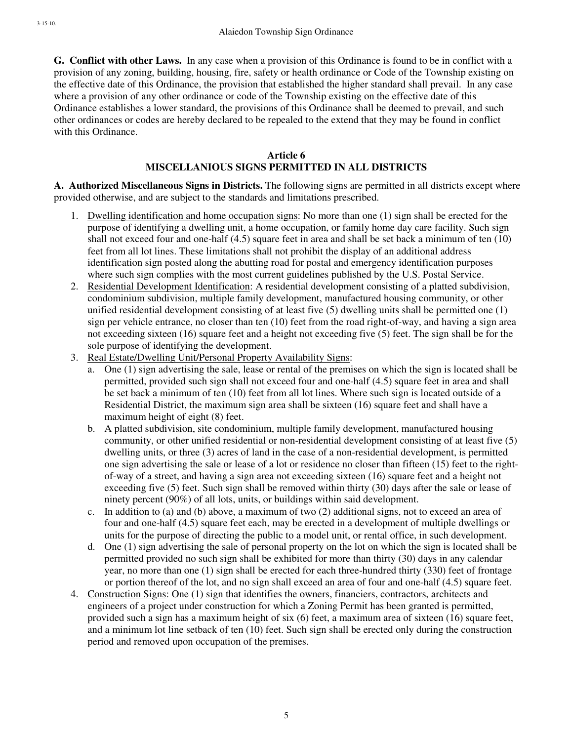**G. Conflict with other Laws.** In any case when a provision of this Ordinance is found to be in conflict with a provision of any zoning, building, housing, fire, safety or health ordinance or Code of the Township existing on the effective date of this Ordinance, the provision that established the higher standard shall prevail. In any case where a provision of any other ordinance or code of the Township existing on the effective date of this Ordinance establishes a lower standard, the provisions of this Ordinance shall be deemed to prevail, and such other ordinances or codes are hereby declared to be repealed to the extend that they may be found in conflict with this Ordinance.

#### **Article 6 MISCELLANIOUS SIGNS PERMITTED IN ALL DISTRICTS**

**A. Authorized Miscellaneous Signs in Districts.** The following signs are permitted in all districts except where provided otherwise, and are subject to the standards and limitations prescribed.

- 1. Dwelling identification and home occupation signs: No more than one (1) sign shall be erected for the purpose of identifying a dwelling unit, a home occupation, or family home day care facility. Such sign shall not exceed four and one-half (4.5) square feet in area and shall be set back a minimum of ten (10) feet from all lot lines. These limitations shall not prohibit the display of an additional address identification sign posted along the abutting road for postal and emergency identification purposes where such sign complies with the most current guidelines published by the U.S. Postal Service.
- 2. Residential Development Identification: A residential development consisting of a platted subdivision, condominium subdivision, multiple family development, manufactured housing community, or other unified residential development consisting of at least five (5) dwelling units shall be permitted one (1) sign per vehicle entrance, no closer than ten (10) feet from the road right-of-way, and having a sign area not exceeding sixteen (16) square feet and a height not exceeding five (5) feet. The sign shall be for the sole purpose of identifying the development.
- 3. Real Estate/Dwelling Unit/Personal Property Availability Signs:
	- a. One (1) sign advertising the sale, lease or rental of the premises on which the sign is located shall be permitted, provided such sign shall not exceed four and one-half (4.5) square feet in area and shall be set back a minimum of ten (10) feet from all lot lines. Where such sign is located outside of a Residential District, the maximum sign area shall be sixteen (16) square feet and shall have a maximum height of eight (8) feet.
	- b. A platted subdivision, site condominium, multiple family development, manufactured housing community, or other unified residential or non-residential development consisting of at least five (5) dwelling units, or three (3) acres of land in the case of a non-residential development, is permitted one sign advertising the sale or lease of a lot or residence no closer than fifteen (15) feet to the rightof-way of a street, and having a sign area not exceeding sixteen (16) square feet and a height not exceeding five (5) feet. Such sign shall be removed within thirty (30) days after the sale or lease of ninety percent (90%) of all lots, units, or buildings within said development.
	- c. In addition to (a) and (b) above, a maximum of two (2) additional signs, not to exceed an area of four and one-half (4.5) square feet each, may be erected in a development of multiple dwellings or units for the purpose of directing the public to a model unit, or rental office, in such development.
	- d. One (1) sign advertising the sale of personal property on the lot on which the sign is located shall be permitted provided no such sign shall be exhibited for more than thirty (30) days in any calendar year, no more than one (1) sign shall be erected for each three-hundred thirty (330) feet of frontage or portion thereof of the lot, and no sign shall exceed an area of four and one-half (4.5) square feet.
- 4. Construction Signs: One (1) sign that identifies the owners, financiers, contractors, architects and engineers of a project under construction for which a Zoning Permit has been granted is permitted, provided such a sign has a maximum height of six (6) feet, a maximum area of sixteen (16) square feet, and a minimum lot line setback of ten (10) feet. Such sign shall be erected only during the construction period and removed upon occupation of the premises.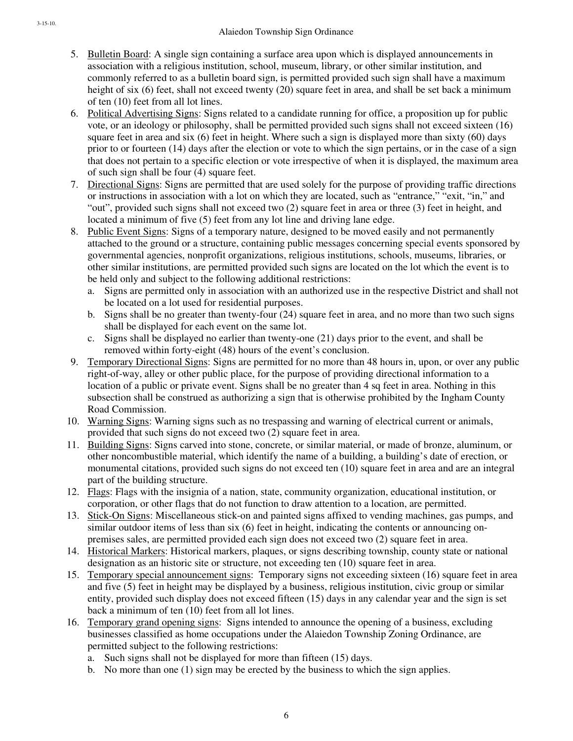- 5. Bulletin Board: A single sign containing a surface area upon which is displayed announcements in association with a religious institution, school, museum, library, or other similar institution, and commonly referred to as a bulletin board sign, is permitted provided such sign shall have a maximum height of six (6) feet, shall not exceed twenty (20) square feet in area, and shall be set back a minimum of ten (10) feet from all lot lines.
- 6. Political Advertising Signs: Signs related to a candidate running for office, a proposition up for public vote, or an ideology or philosophy, shall be permitted provided such signs shall not exceed sixteen (16) square feet in area and six (6) feet in height. Where such a sign is displayed more than sixty (60) days prior to or fourteen (14) days after the election or vote to which the sign pertains, or in the case of a sign that does not pertain to a specific election or vote irrespective of when it is displayed, the maximum area of such sign shall be four (4) square feet.
- 7. Directional Signs: Signs are permitted that are used solely for the purpose of providing traffic directions or instructions in association with a lot on which they are located, such as "entrance," "exit, "in," and "out", provided such signs shall not exceed two (2) square feet in area or three (3) feet in height, and located a minimum of five (5) feet from any lot line and driving lane edge.
- 8. Public Event Signs: Signs of a temporary nature, designed to be moved easily and not permanently attached to the ground or a structure, containing public messages concerning special events sponsored by governmental agencies, nonprofit organizations, religious institutions, schools, museums, libraries, or other similar institutions, are permitted provided such signs are located on the lot which the event is to be held only and subject to the following additional restrictions:
	- a. Signs are permitted only in association with an authorized use in the respective District and shall not be located on a lot used for residential purposes.
	- b. Signs shall be no greater than twenty-four (24) square feet in area, and no more than two such signs shall be displayed for each event on the same lot.
	- c. Signs shall be displayed no earlier than twenty-one (21) days prior to the event, and shall be removed within forty-eight (48) hours of the event's conclusion.
- 9. Temporary Directional Signs: Signs are permitted for no more than 48 hours in, upon, or over any public right-of-way, alley or other public place, for the purpose of providing directional information to a location of a public or private event. Signs shall be no greater than 4 sq feet in area. Nothing in this subsection shall be construed as authorizing a sign that is otherwise prohibited by the Ingham County Road Commission.
- 10. Warning Signs: Warning signs such as no trespassing and warning of electrical current or animals, provided that such signs do not exceed two (2) square feet in area.
- 11. Building Signs: Signs carved into stone, concrete, or similar material, or made of bronze, aluminum, or other noncombustible material, which identify the name of a building, a building's date of erection, or monumental citations, provided such signs do not exceed ten (10) square feet in area and are an integral part of the building structure.
- 12. Flags: Flags with the insignia of a nation, state, community organization, educational institution, or corporation, or other flags that do not function to draw attention to a location, are permitted.
- 13. Stick-On Signs: Miscellaneous stick-on and painted signs affixed to vending machines, gas pumps, and similar outdoor items of less than six (6) feet in height, indicating the contents or announcing onpremises sales, are permitted provided each sign does not exceed two (2) square feet in area.
- 14. Historical Markers: Historical markers, plaques, or signs describing township, county state or national designation as an historic site or structure, not exceeding ten (10) square feet in area.
- 15. Temporary special announcement signs: Temporary signs not exceeding sixteen (16) square feet in area and five (5) feet in height may be displayed by a business, religious institution, civic group or similar entity, provided such display does not exceed fifteen (15) days in any calendar year and the sign is set back a minimum of ten (10) feet from all lot lines.
- 16. Temporary grand opening signs: Signs intended to announce the opening of a business, excluding businesses classified as home occupations under the Alaiedon Township Zoning Ordinance, are permitted subject to the following restrictions:
	- a. Such signs shall not be displayed for more than fifteen (15) days.
	- b. No more than one (1) sign may be erected by the business to which the sign applies.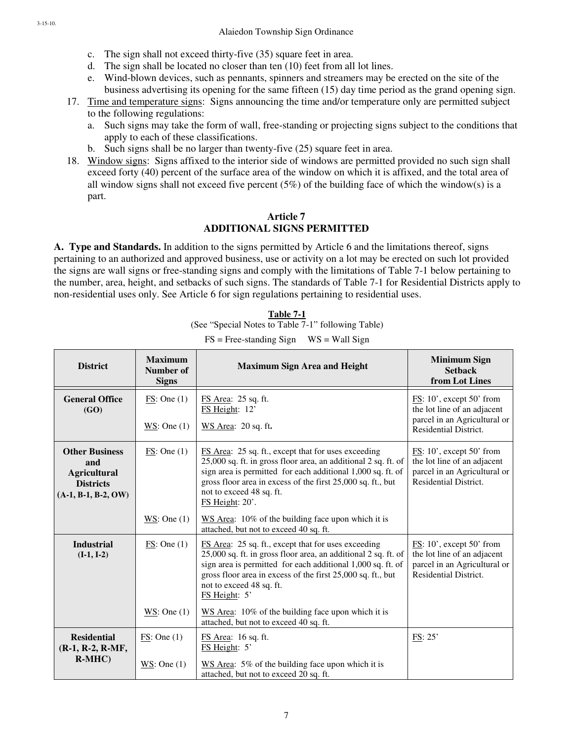- c. The sign shall not exceed thirty-five (35) square feet in area.
- d. The sign shall be located no closer than ten (10) feet from all lot lines.
- e. Wind-blown devices, such as pennants, spinners and streamers may be erected on the site of the business advertising its opening for the same fifteen (15) day time period as the grand opening sign.
- 17. Time and temperature signs: Signs announcing the time and/or temperature only are permitted subject to the following regulations:
	- a. Such signs may take the form of wall, free-standing or projecting signs subject to the conditions that apply to each of these classifications.
	- b. Such signs shall be no larger than twenty-five (25) square feet in area.
- 18. Window signs: Signs affixed to the interior side of windows are permitted provided no such sign shall exceed forty (40) percent of the surface area of the window on which it is affixed, and the total area of all window signs shall not exceed five percent  $(5%)$  of the building face of which the window(s) is a part.

# **Article 7 ADDITIONAL SIGNS PERMITTED**

**A. Type and Standards.** In addition to the signs permitted by Article 6 and the limitations thereof, signs pertaining to an authorized and approved business, use or activity on a lot may be erected on such lot provided the signs are wall signs or free-standing signs and comply with the limitations of Table 7-1 below pertaining to the number, area, height, and setbacks of such signs. The standards of Table 7-1 for Residential Districts apply to non-residential uses only. See Article 6 for sign regulations pertaining to residential uses.

| Table 7-1 |  |  |  |  |                                                    |  |  |  |
|-----------|--|--|--|--|----------------------------------------------------|--|--|--|
|           |  |  |  |  | (See "Special Notes to Table 7-1" following Table) |  |  |  |
|           |  |  |  |  |                                                    |  |  |  |

| <b>District</b>                                                                                  | <b>Maximum</b><br>Number of<br><b>Signs</b> | <b>Maximum Sign Area and Height</b>                                                                                                                                                                                                                                                                     | <b>Minimum Sign</b><br><b>Setback</b><br>from Lot Lines                                                                               |
|--------------------------------------------------------------------------------------------------|---------------------------------------------|---------------------------------------------------------------------------------------------------------------------------------------------------------------------------------------------------------------------------------------------------------------------------------------------------------|---------------------------------------------------------------------------------------------------------------------------------------|
| <b>General Office</b><br>(GO)                                                                    | FS: One(1)<br>WS: One $(1)$                 | FS Area: 25 sq. ft.<br>FS Height: 12'<br>WS Area: 20 sq. ft.                                                                                                                                                                                                                                            | $\overline{\text{FS}}$ : 10', except 50' from<br>the lot line of an adjacent<br>parcel in an Agricultural or<br>Residential District. |
| <b>Other Business</b><br>and<br><b>Agricultural</b><br><b>Districts</b><br>$(A-1, B-1, B-2, OW)$ | FS: One(1)                                  | FS Area: 25 sq. ft., except that for uses exceeding<br>25,000 sq. ft. in gross floor area, an additional 2 sq. ft. of<br>sign area is permitted for each additional 1,000 sq. ft. of<br>gross floor area in excess of the first 25,000 sq. ft., but<br>not to exceed 48 sq. ft.<br>$FS$ Height: $20'$ . | $\overline{\text{FS}}$ : 10', except 50' from<br>the lot line of an adjacent<br>parcel in an Agricultural or<br>Residential District. |
|                                                                                                  | WS: One $(1)$                               | WS Area: 10% of the building face upon which it is<br>attached, but not to exceed 40 sq. ft.                                                                                                                                                                                                            |                                                                                                                                       |
| <b>Industrial</b><br>$(I-1, I-2)$                                                                | FS: One(1)                                  | FS Area: 25 sq. ft., except that for uses exceeding<br>25,000 sq. ft. in gross floor area, an additional 2 sq. ft. of<br>sign area is permitted for each additional 1,000 sq. ft. of<br>gross floor area in excess of the first 25,000 sq. ft., but<br>not to exceed 48 sq. ft.<br>FS Height: 5'        | $\overline{\text{FS}}$ : 10', except 50' from<br>the lot line of an adjacent<br>parcel in an Agricultural or<br>Residential District. |
|                                                                                                  | WS: One $(1)$                               | WS Area: 10% of the building face upon which it is<br>attached, but not to exceed 40 sq. ft.                                                                                                                                                                                                            |                                                                                                                                       |
| <b>Residential</b><br>$(R-1, R-2, R-MF,$<br>$R-MHC$ )                                            | FS: One(1)<br>$WS$ : One (1)                | FS Area: 16 sq. ft.<br>FS Height: 5'<br>$WS$ Area: 5% of the building face upon which it is<br>attached, but not to exceed 20 sq. ft.                                                                                                                                                                   | FS: 25'                                                                                                                               |

 $FS = Free-standing Sign$   $WS = Wall Sign$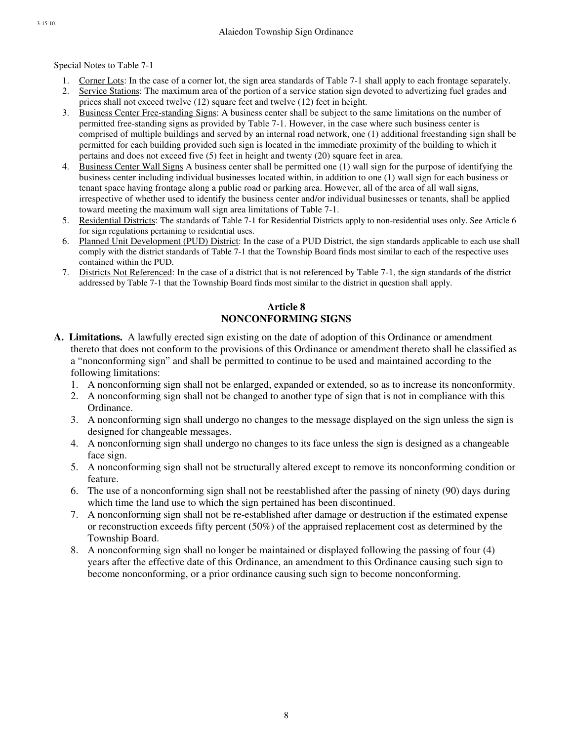Special Notes to Table 7-1

- 1. Corner Lots: In the case of a corner lot, the sign area standards of Table 7-1 shall apply to each frontage separately.
- 2. Service Stations: The maximum area of the portion of a service station sign devoted to advertizing fuel grades and prices shall not exceed twelve (12) square feet and twelve (12) feet in height.
- 3. Business Center Free-standing Signs: A business center shall be subject to the same limitations on the number of permitted free-standing signs as provided by Table 7-1. However, in the case where such business center is comprised of multiple buildings and served by an internal road network, one (1) additional freestanding sign shall be permitted for each building provided such sign is located in the immediate proximity of the building to which it pertains and does not exceed five (5) feet in height and twenty (20) square feet in area.
- 4. Business Center Wall Signs A business center shall be permitted one (1) wall sign for the purpose of identifying the business center including individual businesses located within, in addition to one (1) wall sign for each business or tenant space having frontage along a public road or parking area. However, all of the area of all wall signs, irrespective of whether used to identify the business center and/or individual businesses or tenants, shall be applied toward meeting the maximum wall sign area limitations of Table 7-1.
- 5. Residential Districts: The standards of Table 7-1 for Residential Districts apply to non-residential uses only. See Article 6 for sign regulations pertaining to residential uses.
- 6. Planned Unit Development (PUD) District: In the case of a PUD District, the sign standards applicable to each use shall comply with the district standards of Table 7-1 that the Township Board finds most similar to each of the respective uses contained within the PUD.
- 7. Districts Not Referenced: In the case of a district that is not referenced by Table 7-1, the sign standards of the district addressed by Table 7-1 that the Township Board finds most similar to the district in question shall apply.

### **Article 8 NONCONFORMING SIGNS**

- **A. Limitations.** A lawfully erected sign existing on the date of adoption of this Ordinance or amendment thereto that does not conform to the provisions of this Ordinance or amendment thereto shall be classified as a "nonconforming sign" and shall be permitted to continue to be used and maintained according to the following limitations:
	- 1. A nonconforming sign shall not be enlarged, expanded or extended, so as to increase its nonconformity.
	- 2. A nonconforming sign shall not be changed to another type of sign that is not in compliance with this Ordinance.
	- 3. A nonconforming sign shall undergo no changes to the message displayed on the sign unless the sign is designed for changeable messages.
	- 4. A nonconforming sign shall undergo no changes to its face unless the sign is designed as a changeable face sign.
	- 5. A nonconforming sign shall not be structurally altered except to remove its nonconforming condition or feature.
	- 6. The use of a nonconforming sign shall not be reestablished after the passing of ninety (90) days during which time the land use to which the sign pertained has been discontinued.
	- 7. A nonconforming sign shall not be re-established after damage or destruction if the estimated expense or reconstruction exceeds fifty percent (50%) of the appraised replacement cost as determined by the Township Board.
	- 8. A nonconforming sign shall no longer be maintained or displayed following the passing of four (4) years after the effective date of this Ordinance, an amendment to this Ordinance causing such sign to become nonconforming, or a prior ordinance causing such sign to become nonconforming.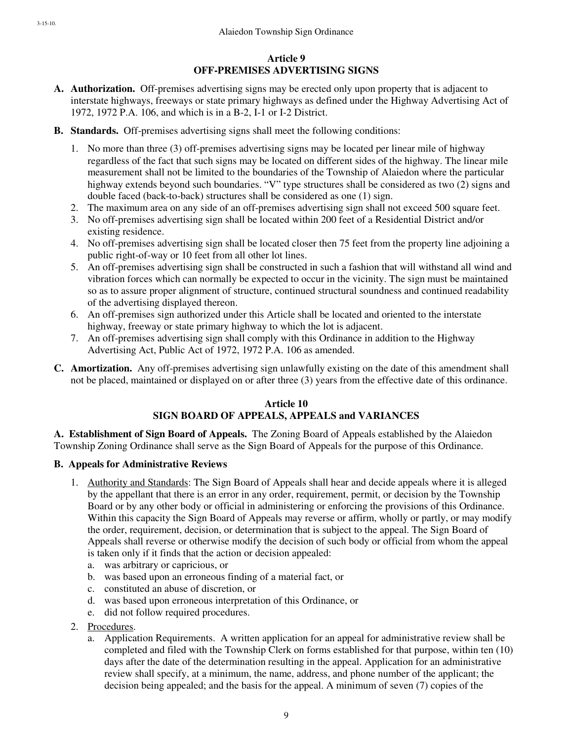# **Article 9 OFF-PREMISES ADVERTISING SIGNS**

- **A. Authorization.** Off-premises advertising signs may be erected only upon property that is adjacent to interstate highways, freeways or state primary highways as defined under the Highway Advertising Act of 1972, 1972 P.A. 106, and which is in a B-2, I-1 or I-2 District.
- **B. Standards.** Off-premises advertising signs shall meet the following conditions:
	- 1. No more than three (3) off-premises advertising signs may be located per linear mile of highway regardless of the fact that such signs may be located on different sides of the highway. The linear mile measurement shall not be limited to the boundaries of the Township of Alaiedon where the particular highway extends beyond such boundaries. "V" type structures shall be considered as two (2) signs and double faced (back-to-back) structures shall be considered as one (1) sign.
	- 2. The maximum area on any side of an off-premises advertising sign shall not exceed 500 square feet.
	- 3. No off-premises advertising sign shall be located within 200 feet of a Residential District and/or existing residence.
	- 4. No off-premises advertising sign shall be located closer then 75 feet from the property line adjoining a public right-of-way or 10 feet from all other lot lines.
	- 5. An off-premises advertising sign shall be constructed in such a fashion that will withstand all wind and vibration forces which can normally be expected to occur in the vicinity. The sign must be maintained so as to assure proper alignment of structure, continued structural soundness and continued readability of the advertising displayed thereon.
	- 6. An off-premises sign authorized under this Article shall be located and oriented to the interstate highway, freeway or state primary highway to which the lot is adjacent.
	- 7. An off-premises advertising sign shall comply with this Ordinance in addition to the Highway Advertising Act, Public Act of 1972, 1972 P.A. 106 as amended.
- **C. Amortization.** Any off-premises advertising sign unlawfully existing on the date of this amendment shall not be placed, maintained or displayed on or after three (3) years from the effective date of this ordinance.

## **Article 10 SIGN BOARD OF APPEALS, APPEALS and VARIANCES**

**A. Establishment of Sign Board of Appeals.** The Zoning Board of Appeals established by the Alaiedon Township Zoning Ordinance shall serve as the Sign Board of Appeals for the purpose of this Ordinance.

# **B. Appeals for Administrative Reviews**

- 1. Authority and Standards: The Sign Board of Appeals shall hear and decide appeals where it is alleged by the appellant that there is an error in any order, requirement, permit, or decision by the Township Board or by any other body or official in administering or enforcing the provisions of this Ordinance. Within this capacity the Sign Board of Appeals may reverse or affirm, wholly or partly, or may modify the order, requirement, decision, or determination that is subject to the appeal. The Sign Board of Appeals shall reverse or otherwise modify the decision of such body or official from whom the appeal is taken only if it finds that the action or decision appealed:
	- a. was arbitrary or capricious, or
	- b. was based upon an erroneous finding of a material fact, or
	- c. constituted an abuse of discretion, or
	- d. was based upon erroneous interpretation of this Ordinance, or
	- e. did not follow required procedures.
- 2. Procedures.
	- a. Application Requirements. A written application for an appeal for administrative review shall be completed and filed with the Township Clerk on forms established for that purpose, within ten (10) days after the date of the determination resulting in the appeal. Application for an administrative review shall specify, at a minimum, the name, address, and phone number of the applicant; the decision being appealed; and the basis for the appeal. A minimum of seven (7) copies of the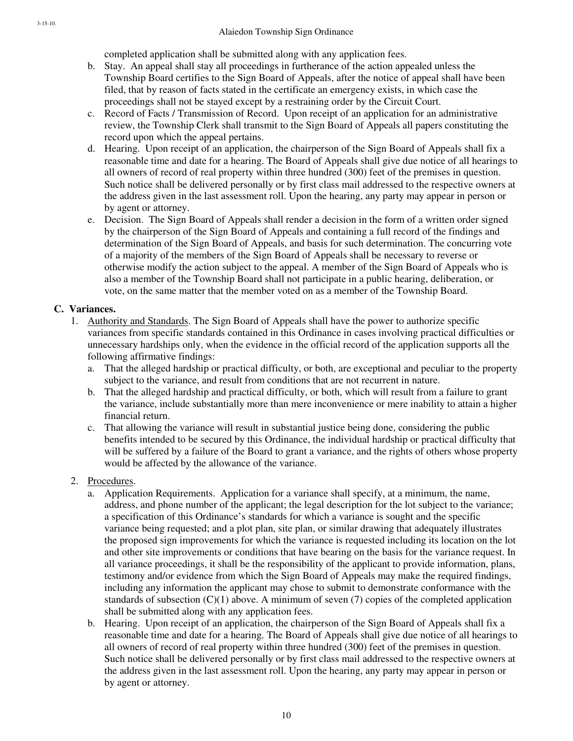completed application shall be submitted along with any application fees.

- b. Stay. An appeal shall stay all proceedings in furtherance of the action appealed unless the Township Board certifies to the Sign Board of Appeals, after the notice of appeal shall have been filed, that by reason of facts stated in the certificate an emergency exists, in which case the proceedings shall not be stayed except by a restraining order by the Circuit Court.
- c. Record of Facts / Transmission of Record. Upon receipt of an application for an administrative review, the Township Clerk shall transmit to the Sign Board of Appeals all papers constituting the record upon which the appeal pertains.
- d. Hearing. Upon receipt of an application, the chairperson of the Sign Board of Appeals shall fix a reasonable time and date for a hearing. The Board of Appeals shall give due notice of all hearings to all owners of record of real property within three hundred (300) feet of the premises in question. Such notice shall be delivered personally or by first class mail addressed to the respective owners at the address given in the last assessment roll. Upon the hearing, any party may appear in person or by agent or attorney.
- e. Decision. The Sign Board of Appeals shall render a decision in the form of a written order signed by the chairperson of the Sign Board of Appeals and containing a full record of the findings and determination of the Sign Board of Appeals, and basis for such determination. The concurring vote of a majority of the members of the Sign Board of Appeals shall be necessary to reverse or otherwise modify the action subject to the appeal. A member of the Sign Board of Appeals who is also a member of the Township Board shall not participate in a public hearing, deliberation, or vote, on the same matter that the member voted on as a member of the Township Board.

## **C. Variances.**

- 1. Authority and Standards. The Sign Board of Appeals shall have the power to authorize specific variances from specific standards contained in this Ordinance in cases involving practical difficulties or unnecessary hardships only, when the evidence in the official record of the application supports all the following affirmative findings:
	- a. That the alleged hardship or practical difficulty, or both, are exceptional and peculiar to the property subject to the variance, and result from conditions that are not recurrent in nature.
	- b. That the alleged hardship and practical difficulty, or both, which will result from a failure to grant the variance, include substantially more than mere inconvenience or mere inability to attain a higher financial return.
	- c. That allowing the variance will result in substantial justice being done, considering the public benefits intended to be secured by this Ordinance, the individual hardship or practical difficulty that will be suffered by a failure of the Board to grant a variance, and the rights of others whose property would be affected by the allowance of the variance.

## 2. Procedures.

- a. Application Requirements. Application for a variance shall specify, at a minimum, the name, address, and phone number of the applicant; the legal description for the lot subject to the variance; a specification of this Ordinance's standards for which a variance is sought and the specific variance being requested; and a plot plan, site plan, or similar drawing that adequately illustrates the proposed sign improvements for which the variance is requested including its location on the lot and other site improvements or conditions that have bearing on the basis for the variance request. In all variance proceedings, it shall be the responsibility of the applicant to provide information, plans, testimony and/or evidence from which the Sign Board of Appeals may make the required findings, including any information the applicant may chose to submit to demonstrate conformance with the standards of subsection  $(C)(1)$  above. A minimum of seven (7) copies of the completed application shall be submitted along with any application fees.
- b. Hearing. Upon receipt of an application, the chairperson of the Sign Board of Appeals shall fix a reasonable time and date for a hearing. The Board of Appeals shall give due notice of all hearings to all owners of record of real property within three hundred (300) feet of the premises in question. Such notice shall be delivered personally or by first class mail addressed to the respective owners at the address given in the last assessment roll. Upon the hearing, any party may appear in person or by agent or attorney.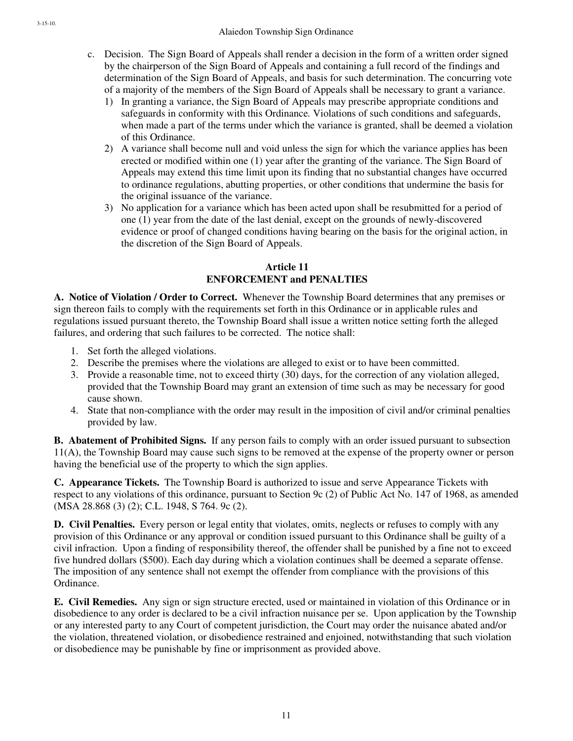- c. Decision. The Sign Board of Appeals shall render a decision in the form of a written order signed by the chairperson of the Sign Board of Appeals and containing a full record of the findings and determination of the Sign Board of Appeals, and basis for such determination. The concurring vote of a majority of the members of the Sign Board of Appeals shall be necessary to grant a variance.
	- 1) In granting a variance, the Sign Board of Appeals may prescribe appropriate conditions and safeguards in conformity with this Ordinance*.* Violations of such conditions and safeguards, when made a part of the terms under which the variance is granted, shall be deemed a violation of this Ordinance.
	- 2) A variance shall become null and void unless the sign for which the variance applies has been erected or modified within one (1) year after the granting of the variance. The Sign Board of Appeals may extend this time limit upon its finding that no substantial changes have occurred to ordinance regulations, abutting properties, or other conditions that undermine the basis for the original issuance of the variance.
	- 3) No application for a variance which has been acted upon shall be resubmitted for a period of one (1) year from the date of the last denial, except on the grounds of newly-discovered evidence or proof of changed conditions having bearing on the basis for the original action, in the discretion of the Sign Board of Appeals.

# **Article 11 ENFORCEMENT and PENALTIES**

**A. Notice of Violation / Order to Correct.** Whenever the Township Board determines that any premises or sign thereon fails to comply with the requirements set forth in this Ordinance or in applicable rules and regulations issued pursuant thereto, the Township Board shall issue a written notice setting forth the alleged failures, and ordering that such failures to be corrected. The notice shall:

- 1. Set forth the alleged violations.
- 2. Describe the premises where the violations are alleged to exist or to have been committed.
- 3. Provide a reasonable time, not to exceed thirty (30) days, for the correction of any violation alleged, provided that the Township Board may grant an extension of time such as may be necessary for good cause shown.
- 4. State that non-compliance with the order may result in the imposition of civil and/or criminal penalties provided by law.

**B. Abatement of Prohibited Signs.** If any person fails to comply with an order issued pursuant to subsection 11(A), the Township Board may cause such signs to be removed at the expense of the property owner or person having the beneficial use of the property to which the sign applies.

**C. Appearance Tickets.** The Township Board is authorized to issue and serve Appearance Tickets with respect to any violations of this ordinance, pursuant to Section 9c (2) of Public Act No. 147 of 1968, as amended (MSA 28.868 (3) (2); C.L. 1948, S 764. 9c (2).

**D. Civil Penalties.** Every person or legal entity that violates, omits, neglects or refuses to comply with any provision of this Ordinance or any approval or condition issued pursuant to this Ordinance shall be guilty of a civil infraction. Upon a finding of responsibility thereof, the offender shall be punished by a fine not to exceed five hundred dollars (\$500). Each day during which a violation continues shall be deemed a separate offense. The imposition of any sentence shall not exempt the offender from compliance with the provisions of this Ordinance.

**E. Civil Remedies.** Any sign or sign structure erected, used or maintained in violation of this Ordinance or in disobedience to any order is declared to be a civil infraction nuisance per se. Upon application by the Township or any interested party to any Court of competent jurisdiction, the Court may order the nuisance abated and/or the violation, threatened violation, or disobedience restrained and enjoined, notwithstanding that such violation or disobedience may be punishable by fine or imprisonment as provided above.